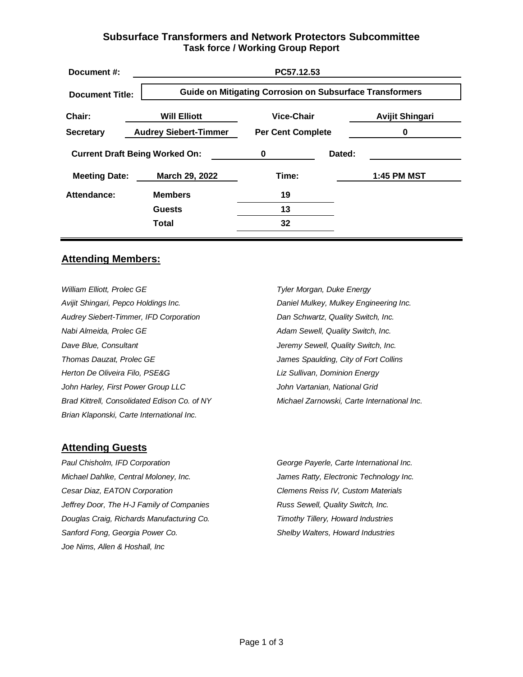## **Subsurface Transformers and Network Protectors Subcommittee Task force / Working Group Report**

| Document #:                           |                              | PC57.12.53                                                      |        |                        |  |
|---------------------------------------|------------------------------|-----------------------------------------------------------------|--------|------------------------|--|
| <b>Document Title:</b>                |                              | <b>Guide on Mitigating Corrosion on Subsurface Transformers</b> |        |                        |  |
| Chair:                                | <b>Will Elliott</b>          | <b>Vice-Chair</b>                                               |        | <b>Avijit Shingari</b> |  |
| <b>Secretary</b>                      | <b>Audrey Siebert-Timmer</b> | <b>Per Cent Complete</b>                                        |        | 0                      |  |
| <b>Current Draft Being Worked On:</b> |                              | 0                                                               | Dated: |                        |  |
| <b>Meeting Date:</b>                  | March 29, 2022               | Time:                                                           |        | 1:45 PM MST            |  |
| Attendance:                           | <b>Members</b>               | 19                                                              |        |                        |  |
|                                       | <b>Guests</b>                | 13                                                              |        |                        |  |
|                                       | <b>Total</b>                 | 32                                                              |        |                        |  |
|                                       |                              |                                                                 |        |                        |  |

#### **Attending Members:**

*William Elliott, Prolec GE Avijit Shingari, Pepco Holdings Inc. Audrey Siebert-Timmer, IFD Corporation Nabi Almeida, Prolec GE Dave Blue, Consultant Thomas Dauzat, Prolec GE Herton De Oliveira Filo, PSE&G John Harley, First Power Group LLC Brad Kittrell, Consolidated Edison Co. of NY Brian Klaponski, Carte International Inc.*

*Tyler Morgan, Duke Energy Daniel Mulkey, Mulkey Engineering Inc. Dan Schwartz, Quality Switch, Inc. Adam Sewell, Quality Switch, Inc. Jeremy Sewell, Quality Switch, Inc. James Spaulding, City of Fort Collins Liz Sullivan, Dominion Energy John Vartanian, National Grid Michael Zarnowski, Carte International Inc.*

#### **Attending Guests**

*Paul Chisholm, IFD Corporation Michael Dahlke, Central Moloney, Inc. Cesar Diaz, EATON Corporation Jeffrey Door, The H-J Family of Companies Douglas Craig, Richards Manufacturing Co. Sanford Fong, Georgia Power Co. Joe Nims, Allen & Hoshall, Inc*

*George Payerle, Carte International Inc. James Ratty, Electronic Technology Inc. Clemens Reiss IV, Custom Materials Russ Sewell, Quality Switch, Inc. Timothy Tillery, Howard Industries Shelby Walters, Howard Industries*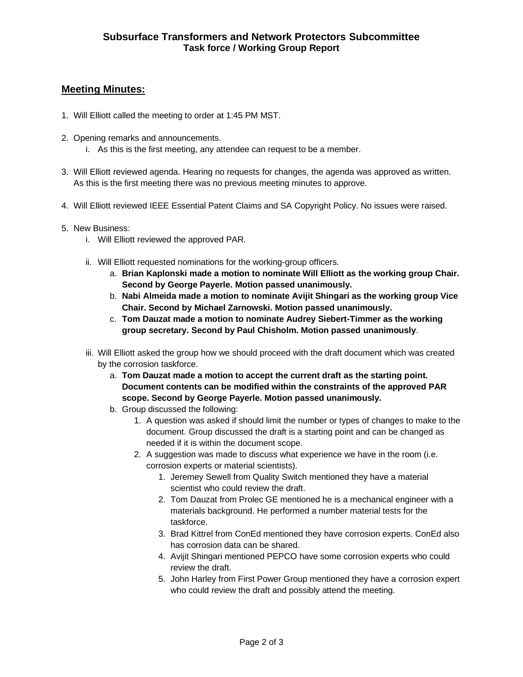# **Meeting Minutes:**

- 1. Will Elliott called the meeting to order at 1:45 PM MST.
- 2. Opening remarks and announcements.
	- i. As this is the first meeting, any attendee can request to be a member.
- 3. Will Elliott reviewed agenda. Hearing no requests for changes, the agenda was approved as written. As this is the first meeting there was no previous meeting minutes to approve.
- 4. Will Elliott reviewed IEEE Essential Patent Claims and SA Copyright Policy. No issues were raised.
- 5. New Business:
	- i. Will Elliott reviewed the approved PAR.
	- ii. Will Elliott requested nominations for the working-group officers.
		- a. **Brian Kaplonski made a motion to nominate Will Elliott as the working group Chair. Second by George Payerle. Motion passed unanimously.**
		- b. **Nabi Almeida made a motion to nominate Avijit Shingari as the working group Vice Chair. Second by Michael Zarnowski. Motion passed unanimously.**
		- c. **Tom Dauzat made a motion to nominate Audrey Siebert-Timmer as the working group secretary. Second by Paul Chisholm. Motion passed unanimously**.
	- iii. Will Elliott asked the group how we should proceed with the draft document which was created by the corrosion taskforce.
		- a. **Tom Dauzat made a motion to accept the current draft as the starting point. Document contents can be modified within the constraints of the approved PAR scope. Second by George Payerle. Motion passed unanimously.**
		- b. Group discussed the following:
			- 1. A question was asked if should limit the number or types of changes to make to the document. Group discussed the draft is a starting point and can be changed as needed if it is within the document scope.
			- 2. A suggestion was made to discuss what experience we have in the room (i.e. corrosion experts or material scientists).
				- 1. Jeremey Sewell from Quality Switch mentioned they have a material scientist who could review the draft.
				- 2. Tom Dauzat from Prolec GE mentioned he is a mechanical engineer with a materials background. He performed a number material tests for the taskforce.
				- 3. Brad Kittrel from ConEd mentioned they have corrosion experts. ConEd also has corrosion data can be shared.
				- 4. Avijit Shingari mentioned PEPCO have some corrosion experts who could review the draft.
				- 5. John Harley from First Power Group mentioned they have a corrosion expert who could review the draft and possibly attend the meeting.